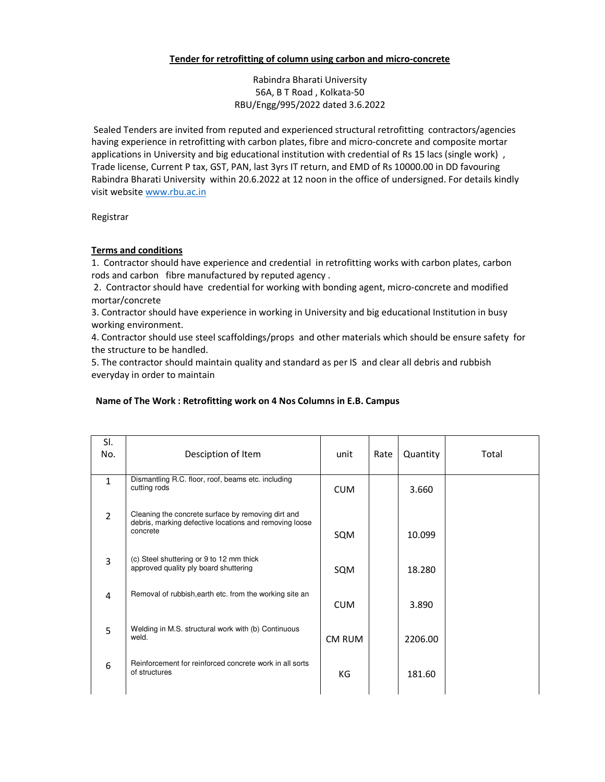## **Tender for retrofitting of column using carbon and micro-concrete**

Rabindra Bharati University 56A, B T Road , Kolkata-50 RBU/Engg/995/2022 dated 3.6.2022

 Sealed Tenders are invited from reputed and experienced structural retrofitting contractors/agencies having experience in retrofitting with carbon plates, fibre and micro-concrete and composite mortar applications in University and big educational institution with credential of Rs 15 lacs (single work), Trade license, Current P tax, GST, PAN, last 3yrs IT return, and EMD of Rs 10000.00 in DD favouring Rabindra Bharati University within 20.6.2022 at 12 noon in the office of undersigned. For details kindly visit website www.rbu.ac.in

Registrar

## **Terms and conditions**

1. Contractor should have experience and credential in retrofitting works with carbon plates, carbon rods and carbon fibre manufactured by reputed agency .

 2. Contractor should have credential for working with bonding agent, micro-concrete and modified mortar/concrete

3. Contractor should have experience in working in University and big educational Institution in busy working environment.

4. Contractor should use steel scaffoldings/props and other materials which should be ensure safety for the structure to be handled.

5. The contractor should maintain quality and standard as per IS and clear all debris and rubbish everyday in order to maintain

## **Name of The Work : Retrofitting work on 4 Nos Columns in E.B. Campus**

| SI.<br>No.     | Desciption of Item                                                                                                       | unit       | Rate | Quantity | Total |
|----------------|--------------------------------------------------------------------------------------------------------------------------|------------|------|----------|-------|
| $\mathbf{1}$   | Dismantling R.C. floor, roof, beams etc. including<br>cutting rods                                                       | <b>CUM</b> |      | 3.660    |       |
| $\overline{2}$ | Cleaning the concrete surface by removing dirt and<br>debris, marking defective locations and removing loose<br>concrete | SQM        |      | 10.099   |       |
| 3              | (c) Steel shuttering or 9 to 12 mm thick<br>approved quality ply board shuttering                                        | SQM        |      | 18.280   |       |
| 4              | Removal of rubbish, earth etc. from the working site an                                                                  | <b>CUM</b> |      | 3.890    |       |
| 5              | Welding in M.S. structural work with (b) Continuous<br>weld.                                                             | CM RUM     |      | 2206.00  |       |
| 6              | Reinforcement for reinforced concrete work in all sorts<br>of structures                                                 | КG         |      | 181.60   |       |